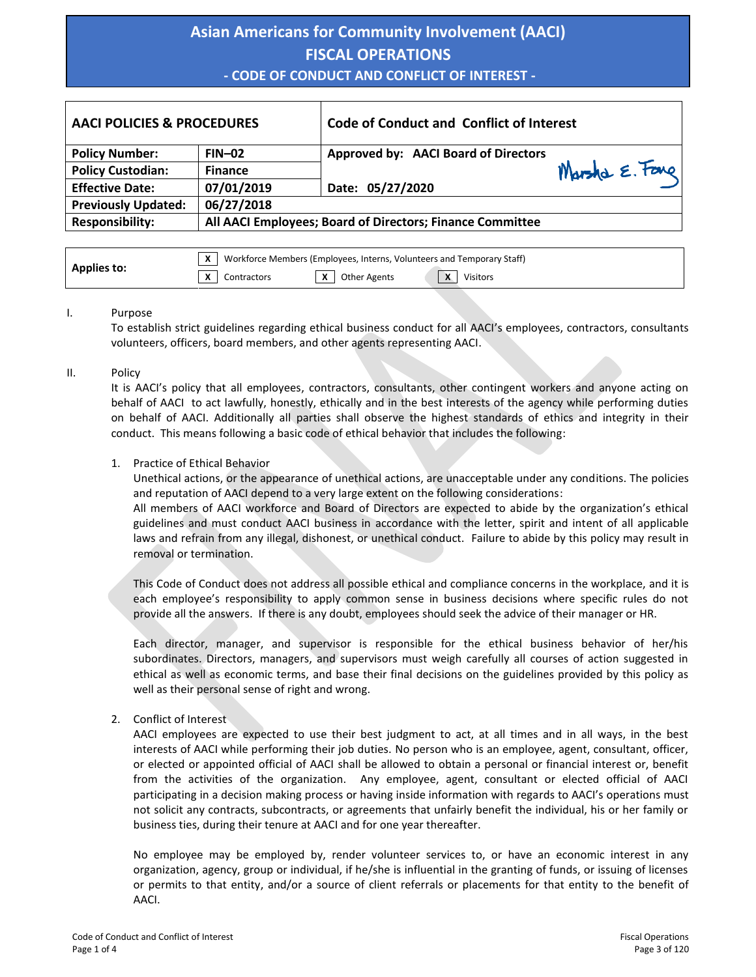# **Asian Americans for Community Involvement (AACI) FISCAL OPERATIONS**

**- CODE OF CONDUCT AND CONFLICT OF INTEREST -**

| <b>AACI POLICIES &amp; PROCEDURES</b> |                | <b>Code of Conduct and Conflict of Interest</b>           |                |
|---------------------------------------|----------------|-----------------------------------------------------------|----------------|
| <b>Policy Number:</b>                 | $FIN-02$       | Approved by: AACI Board of Directors                      |                |
| <b>Policy Custodian:</b>              | <b>Finance</b> |                                                           | Marsha E. Fang |
| <b>Effective Date:</b>                | 07/01/2019     | Date: 05/27/2020                                          |                |
| <b>Previously Updated:</b>            | 06/27/2018     |                                                           |                |
| <b>Responsibility:</b>                |                | All AACI Employees; Board of Directors; Finance Committee |                |

| <b>Applies to:</b> | Workforce Members (Employees, Interns, Volunteers and Temporary Staff)                          |  |  |  |
|--------------------|-------------------------------------------------------------------------------------------------|--|--|--|
|                    | X Other Agents<br>$\mathsf{x}$<br><b>Visitors</b><br>$\mathbf v$<br>Contractors<br>$\mathbf{v}$ |  |  |  |

#### I. Purpose

To establish strict guidelines regarding ethical business conduct for all AACI's employees, contractors, consultants volunteers, officers, board members, and other agents representing AACI.

#### II. Policy

It is AACI's policy that all employees, contractors, consultants, other contingent workers and anyone acting on behalf of AACI to act lawfully, honestly, ethically and in the best interests of the agency while performing duties on behalf of AACI. Additionally all parties shall observe the highest standards of ethics and integrity in their conduct. This means following a basic code of ethical behavior that includes the following:

#### 1. Practice of Ethical Behavior

Unethical actions, or the appearance of unethical actions, are unacceptable under any conditions. The policies and reputation of AACI depend to a very large extent on the following considerations:

All members of AACI workforce and Board of Directors are expected to abide by the organization's ethical guidelines and must conduct AACI business in accordance with the letter, spirit and intent of all applicable laws and refrain from any illegal, dishonest, or unethical conduct. Failure to abide by this policy may result in removal or termination.

This Code of Conduct does not address all possible ethical and compliance concerns in the workplace, and it is each employee's responsibility to apply common sense in business decisions where specific rules do not provide all the answers. If there is any doubt, employees should seek the advice of their manager or HR.

Each director, manager, and supervisor is responsible for the ethical business behavior of her/his subordinates. Directors, managers, and supervisors must weigh carefully all courses of action suggested in ethical as well as economic terms, and base their final decisions on the guidelines provided by this policy as well as their personal sense of right and wrong.

2. Conflict of Interest

AACI employees are expected to use their best judgment to act, at all times and in all ways, in the best interests of AACI while performing their job duties. No person who is an employee, agent, consultant, officer, or elected or appointed official of AACI shall be allowed to obtain a personal or financial interest or, benefit from the activities of the organization. Any employee, agent, consultant or elected official of AACI participating in a decision making process or having inside information with regards to AACI's operations must not solicit any contracts, subcontracts, or agreements that unfairly benefit the individual, his or her family or business ties, during their tenure at AACI and for one year thereafter.

No employee may be employed by, render volunteer services to, or have an economic interest in any organization, agency, group or individual, if he/she is influential in the granting of funds, or issuing of licenses or permits to that entity, and/or a source of client referrals or placements for that entity to the benefit of AACI.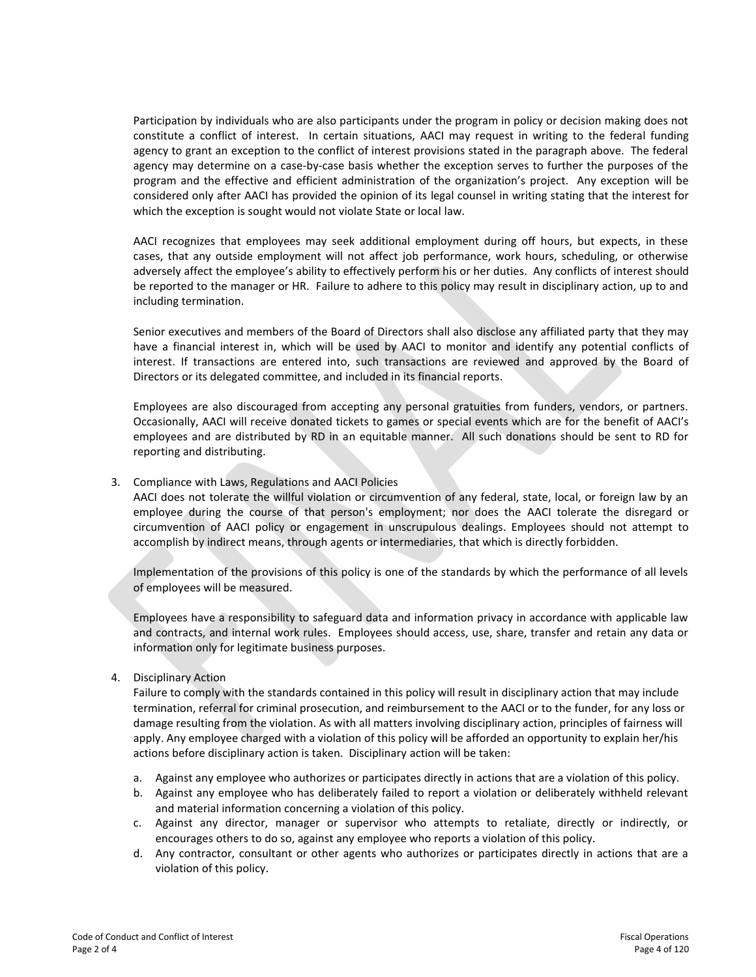Participation by individuals who are also participants under the program in policy or decision making does not constitute a conflict of interest. In certain situations, AACI may request in writing to the federal funding agency to grant an exception to the conflict of interest provisions stated in the paragraph above. The federal agency may determine on a case-by-case basis whether the exception serves to further the purposes of the program and the effective and efficient administration of the organization's project. Any exception will be considered only after AACI has provided the opinion of its legal counsel in writing stating that the interest for which the exception is sought would not violate State or local law.

AACI recognizes that employees may seek additional employment during off hours, but expects, in these cases, that any outside employment will not affect job performance, work hours, scheduling, or otherwise adversely affect the employee's ability to effectively perform his or her duties. Any conflicts of interest should be reported to the manager or HR. Failure to adhere to this policy may result in disciplinary action, up to and including termination.

Senior executives and members of the Board of Directors shall also disclose any affiliated party that they may have a financial interest in, which will be used by AACI to monitor and identify any potential conflicts of interest. If transactions are entered into, such transactions are reviewed and approved by the Board of Directors or its delegated committee, and included in its financial reports.

Employees are also discouraged from accepting any personal gratuities from funders, vendors, or partners. Occasionally, AACI will receive donated tickets to games or special events which are for the benefit of AACI's employees and are distributed by RD in an equitable manner. All such donations should be sent to RD for reporting and distributing.

## 3. Compliance with Laws, Regulations and AACI Policies

AACI does not tolerate the willful violation or circumvention of any federal, state, local, or foreign law by an employee during the course of that person's employment; nor does the AACI tolerate the disregard or circumvention of AACI policy or engagement in unscrupulous dealings. Employees should not attempt to accomplish by indirect means, through agents or intermediaries, that which is directly forbidden.

Implementation of the provisions of this policy is one of the standards by which the performance of all levels of employees will be measured.

Employees have a responsibility to safeguard data and information privacy in accordance with applicable law and contracts, and internal work rules. Employees should access, use, share, transfer and retain any data or information only for legitimate business purposes.

## 4. Disciplinary Action

Failure to comply with the standards contained in this policy will result in disciplinary action that may include termination, referral for criminal prosecution, and reimbursement to the AACI or to the funder, for any loss or damage resulting from the violation. As with all matters involving disciplinary action, principles of fairness will apply. Any employee charged with a violation of this policy will be afforded an opportunity to explain her/his actions before disciplinary action is taken. Disciplinary action will be taken:

- a. Against any employee who authorizes or participates directly in actions that are a violation of this policy.
- b. Against any employee who has deliberately failed to report a violation or deliberately withheld relevant and material information concerning a violation of this policy.
- c. Against any director, manager or supervisor who attempts to retaliate, directly or indirectly, or encourages others to do so, against any employee who reports a violation of this policy.
- d. Any contractor, consultant or other agents who authorizes or participates directly in actions that are a violation of this policy.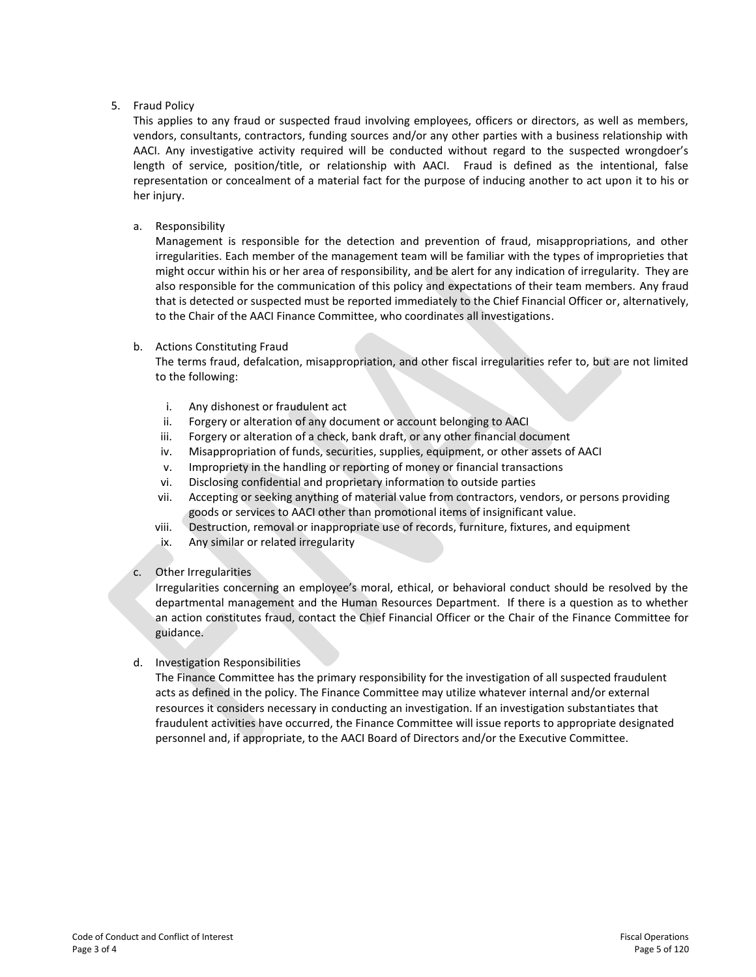## 5. Fraud Policy

This applies to any fraud or suspected fraud involving employees, officers or directors, as well as members, vendors, consultants, contractors, funding sources and/or any other parties with a business relationship with AACI. Any investigative activity required will be conducted without regard to the suspected wrongdoer's length of service, position/title, or relationship with AACI. Fraud is defined as the intentional, false representation or concealment of a material fact for the purpose of inducing another to act upon it to his or her injury.

a. Responsibility

Management is responsible for the detection and prevention of fraud, misappropriations, and other irregularities. Each member of the management team will be familiar with the types of improprieties that might occur within his or her area of responsibility, and be alert for any indication of irregularity. They are also responsible for the communication of this policy and expectations of their team members. Any fraud that is detected or suspected must be reported immediately to the Chief Financial Officer or, alternatively, to the Chair of the AACI Finance Committee, who coordinates all investigations.

## b. Actions Constituting Fraud

The terms fraud, defalcation, misappropriation, and other fiscal irregularities refer to, but are not limited to the following:

- i. Any dishonest or fraudulent act
- ii. Forgery or alteration of any document or account belonging to AACI
- iii. Forgery or alteration of a check, bank draft, or any other financial document
- iv. Misappropriation of funds, securities, supplies, equipment, or other assets of AACI
- v. Impropriety in the handling or reporting of money or financial transactions
- vi. Disclosing confidential and proprietary information to outside parties
- vii. Accepting or seeking anything of material value from contractors, vendors, or persons providing goods or services to AACI other than promotional items of insignificant value.
- viii. Destruction, removal or inappropriate use of records, furniture, fixtures, and equipment
- ix. Any similar or related irregularity

## c. Other Irregularities

Irregularities concerning an employee's moral, ethical, or behavioral conduct should be resolved by the departmental management and the Human Resources Department. If there is a question as to whether an action constitutes fraud, contact the Chief Financial Officer or the Chair of the Finance Committee for guidance.

## d. Investigation Responsibilities

The Finance Committee has the primary responsibility for the investigation of all suspected fraudulent acts as defined in the policy. The Finance Committee may utilize whatever internal and/or external resources it considers necessary in conducting an investigation. If an investigation substantiates that fraudulent activities have occurred, the Finance Committee will issue reports to appropriate designated personnel and, if appropriate, to the AACI Board of Directors and/or the Executive Committee.